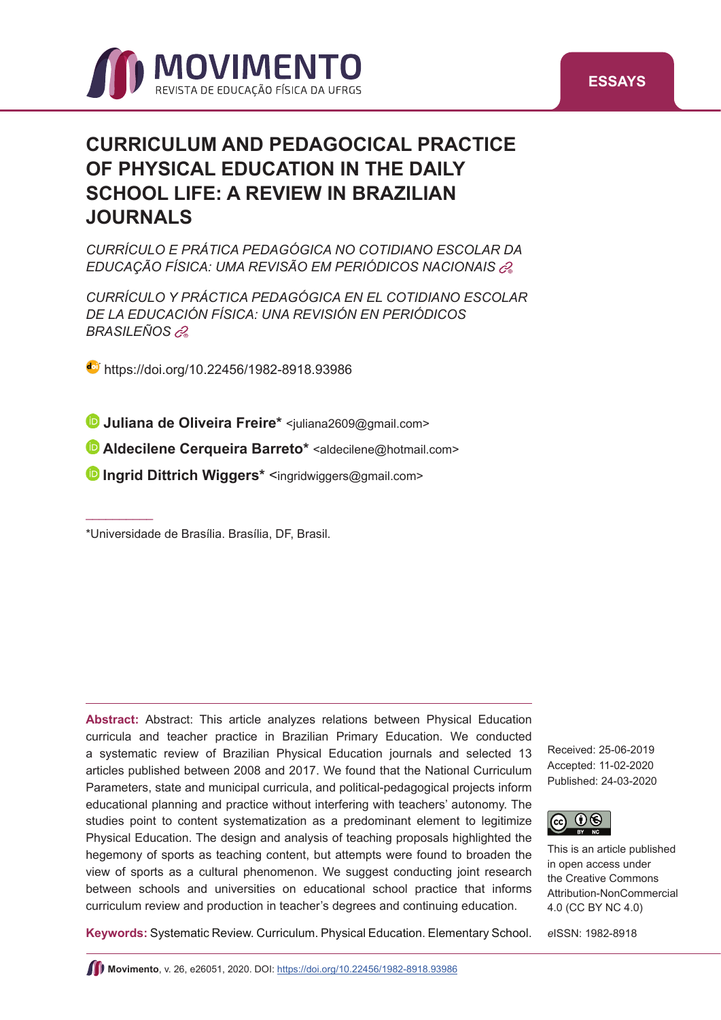



# **CURRICULUM AND PEDAGOCICAL PRACTICE OF PHYSICAL EDUCATION IN THE DAILY SCHOOL LIFE: A REVIEW IN BRAZILIAN JOURNALS**

*CURRÍCULO E PRÁTICA PEDAGÓGICA NO COTIDIANO ESCOLAR DA EDUCAÇÃO FÍSICA: UMA REVISÃO EM PERIÓDICOS NACIONAI[S](#page-13-0)* <sup>+</sup>

*CURRÍCULO Y PRÁCTICA PEDAGÓGICA EN EL COTIDIANO ESCOLAR DE LA EDUCACIÓN FÍSICA: UNA REVISIÓN EN PERIÓDICOS*   $BRASILEÑOS$   $\mathscr{C}_{\theta}$ 

<https://doi.org/10.22456/1982-8918.93986>

**Juliana de Oliveira Freire\*** [<](mailto:caiotarraes%40gmail.com?subject=)[juliana2609@gmail.com>](mailto:juliana2609@gmail.com)

**•Aldecilene Cerqueira Barreto\*** [<aldecilene@hotmail.com](mailto:aldecilene@hotmail.com)>

**Ingrid Dittrich Wiggers\*** [<ingridwiggers@gmail.com>](mailto:ingridwiggers@gmail.com)

 $\overline{\phantom{a}}$  . The contract of the contract of the contract of the contract of the contract of the contract of the contract of the contract of the contract of the contract of the contract of the contract of the contract of

**Abstract:** Abstract: This article analyzes relations between Physical Education curricula and teacher practice in Brazilian Primary Education. We conducted a systematic review of Brazilian Physical Education journals and selected 13 articles published between 2008 and 2017. We found that the National Curriculum Parameters, state and municipal curricula, and political-pedagogical projects inform educational planning and practice without interfering with teachers' autonomy. The studies point to content systematization as a predominant element to legitimize Physical Education. The design and analysis of teaching proposals highlighted the hegemony of sports as teaching content, but attempts were found to broaden the view of sports as a cultural phenomenon. We suggest conducting joint research between schools and universities on educational school practice that informs curriculum review and production in teacher's degrees and continuing education.

Received: 25-06-2019 Accepted: 11-02-2020 Published: 24-03-2020



This is an article published in open access under the Creative Commons Attribution-NonCommercial 4.0 (CC BY NC 4.0)

**Keywords:** Systematic Review. Curriculum. Physical Education. Elementary School. *e*ISSN: 1982-8918

<sup>\*</sup>Universidade de Brasília. Brasília, DF, Brasil.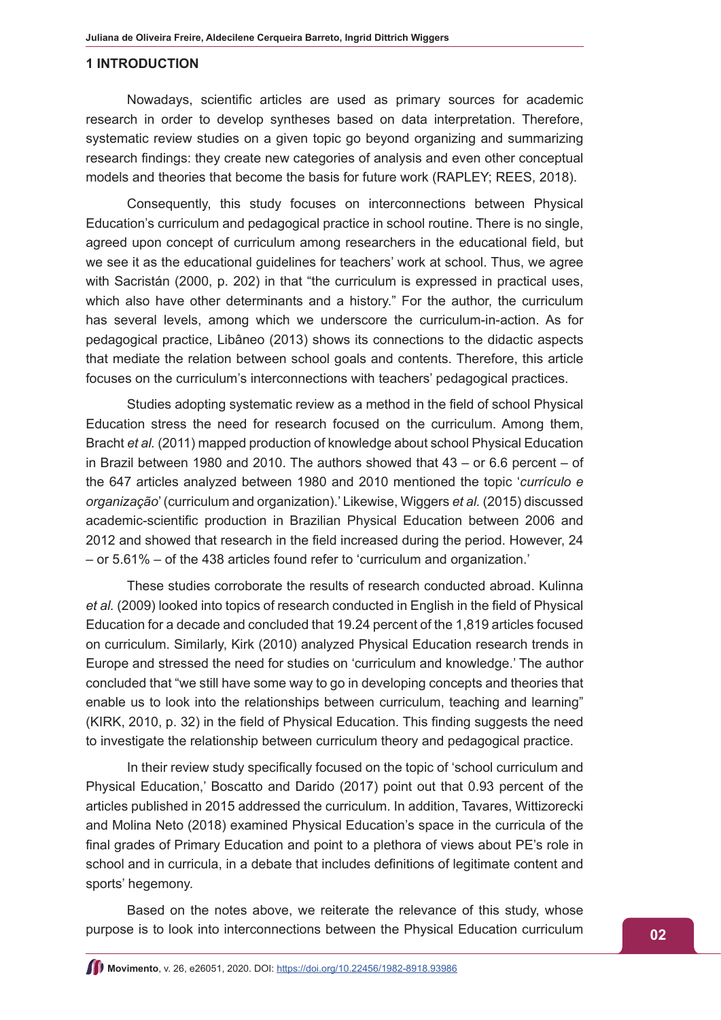#### **1 INTRODUCTION**

Nowadays, scientific articles are used as primary sources for academic research in order to develop syntheses based on data interpretation. Therefore, systematic review studies on a given topic go beyond organizing and summarizing research findings: they create new categories of analysis and even other conceptual models and theories that become the basis for future work (RAPLEY; REES, 2018).

Consequently, this study focuses on interconnections between Physical Education's curriculum and pedagogical practice in school routine. There is no single, agreed upon concept of curriculum among researchers in the educational field, but we see it as the educational guidelines for teachers' work at school. Thus, we agree with Sacristán (2000, p. 202) in that "the curriculum is expressed in practical uses, which also have other determinants and a history." For the author, the curriculum has several levels, among which we underscore the curriculum-in-action. As for pedagogical practice, Libâneo (2013) shows its connections to the didactic aspects that mediate the relation between school goals and contents. Therefore, this article focuses on the curriculum's interconnections with teachers' pedagogical practices.

Studies adopting systematic review as a method in the field of school Physical Education stress the need for research focused on the curriculum. Among them, Bracht *et al.* (2011) mapped production of knowledge about school Physical Education in Brazil between 1980 and 2010. The authors showed that  $43 -$  or 6.6 percent – of the 647 articles analyzed between 1980 and 2010 mentioned the topic '*currículo e organização*' (curriculum and organization).' Likewise, Wiggers *et al.* (2015) discussed academic-scientific production in Brazilian Physical Education between 2006 and 2012 and showed that research in the field increased during the period. However, 24 – or 5.61% – of the 438 articles found refer to 'curriculum and organization.'

These studies corroborate the results of research conducted abroad. Kulinna *et al.* (2009) looked into topics of research conducted in English in the field of Physical Education for a decade and concluded that 19.24 percent of the 1,819 articles focused on curriculum. Similarly, Kirk (2010) analyzed Physical Education research trends in Europe and stressed the need for studies on 'curriculum and knowledge.' The author concluded that "we still have some way to go in developing concepts and theories that enable us to look into the relationships between curriculum, teaching and learning" (KIRK, 2010, p. 32) in the field of Physical Education. This finding suggests the need to investigate the relationship between curriculum theory and pedagogical practice.

In their review study specifically focused on the topic of 'school curriculum and Physical Education,' Boscatto and Darido (2017) point out that 0.93 percent of the articles published in 2015 addressed the curriculum. In addition, Tavares, Wittizorecki and Molina Neto (2018) examined Physical Education's space in the curricula of the final grades of Primary Education and point to a plethora of views about PE's role in school and in curricula, in a debate that includes definitions of legitimate content and sports' hegemony.

Based on the notes above, we reiterate the relevance of this study, whose purpose is to look into interconnections between the Physical Education curriculum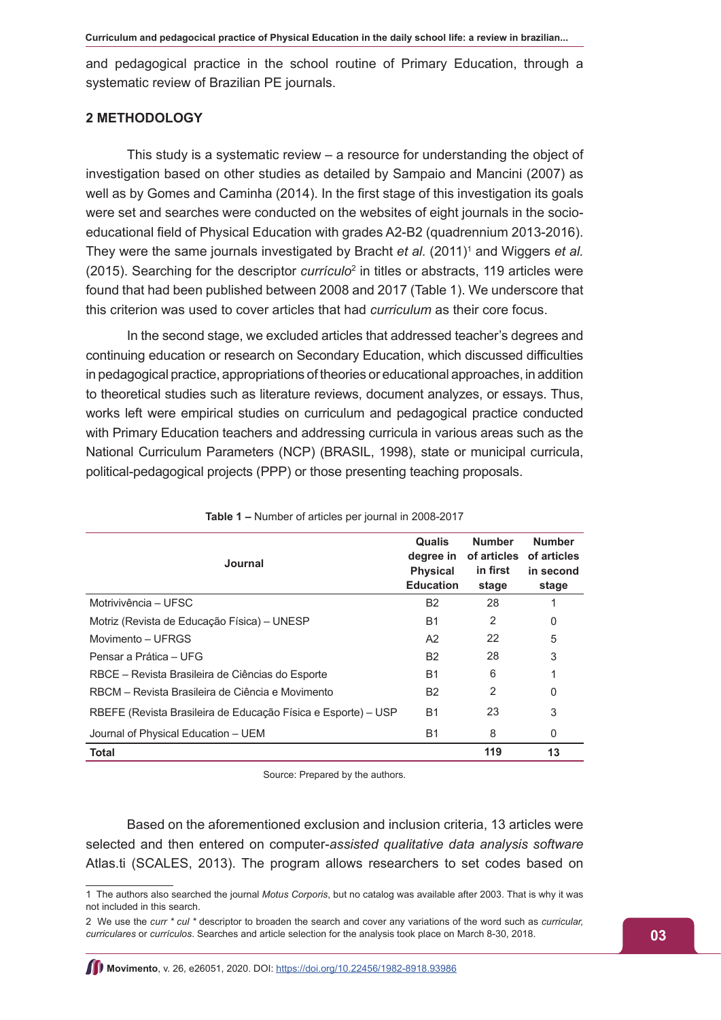and pedagogical practice in the school routine of Primary Education, through a systematic review of Brazilian PE journals.

## **2 METHODOLOGY**

This study is a systematic review – a resource for understanding the object of investigation based on other studies as detailed by Sampaio and Mancini (2007) as well as by Gomes and Caminha (2014). In the first stage of this investigation its goals were set and searches were conducted on the websites of eight journals in the socioeducational field of Physical Education with grades A2-B2 (quadrennium 2013-2016). They were the same journals investigated by Bracht *et al.* (2011)<sup>1</sup> and Wiggers *et al.* (2015). Searching for the descriptor *currículo*<sup>2</sup> in titles or abstracts, 119 articles were found that had been published between 2008 and 2017 (Table 1). We underscore that this criterion was used to cover articles that had *curriculum* as their core focus.

In the second stage, we excluded articles that addressed teacher's degrees and continuing education or research on Secondary Education, which discussed difficulties in pedagogical practice, appropriations of theories or educational approaches, in addition to theoretical studies such as literature reviews, document analyzes, or essays. Thus, works left were empirical studies on curriculum and pedagogical practice conducted with Primary Education teachers and addressing curricula in various areas such as the National Curriculum Parameters (NCP) (BRASIL, 1998), state or municipal curricula, political-pedagogical projects (PPP) or those presenting teaching proposals.

| Journal                                                       | <b>Qualis</b><br>degree in<br><b>Physical</b><br><b>Education</b> | <b>Number</b><br>of articles<br>in first<br>stage | <b>Number</b><br>of articles<br>in second<br>stage |
|---------------------------------------------------------------|-------------------------------------------------------------------|---------------------------------------------------|----------------------------------------------------|
| Motrivivência – UFSC                                          | B <sub>2</sub>                                                    | 28                                                |                                                    |
| Motriz (Revista de Educação Física) – UNESP                   | <b>B1</b>                                                         | $\mathcal{P}$                                     | 0                                                  |
| Movimento - UFRGS                                             | A <sub>2</sub>                                                    | 22                                                | 5                                                  |
| Pensar a Prática – UFG                                        | B <sub>2</sub>                                                    | 28                                                | 3                                                  |
| RBCE – Revista Brasileira de Ciências do Esporte              | <b>B1</b>                                                         | 6                                                 | 1                                                  |
| RBCM – Revista Brasileira de Ciência e Movimento              | B <sub>2</sub>                                                    | 2                                                 | 0                                                  |
| RBEFE (Revista Brasileira de Educação Física e Esporte) – USP | <b>B1</b>                                                         | 23                                                | 3                                                  |
| Journal of Physical Education - UEM                           | B1                                                                | 8                                                 | $\Omega$                                           |
| <b>Total</b>                                                  |                                                                   | 119                                               | 13                                                 |

| Table 1 - Number of articles per journal in 2008-2017 |  |
|-------------------------------------------------------|--|
|-------------------------------------------------------|--|

Source: Prepared by the authors.

Based on the aforementioned exclusion and inclusion criteria, 13 articles were selected and then entered on computer-*assisted qualitative data analysis software* Atlas.ti (SCALES, 2013). The program allows researchers to set codes based on

<sup>1</sup> The authors also searched the journal *Motus Corporis*, but no catalog was available after 2003. That is why it was not included in this search.

<sup>2</sup> We use the *curr \* cul \** descriptor to broaden the search and cover any variations of the word such as *curricular, curriculares* or *currículos*. Searches and article selection for the analysis took place on March 8-30, 2018.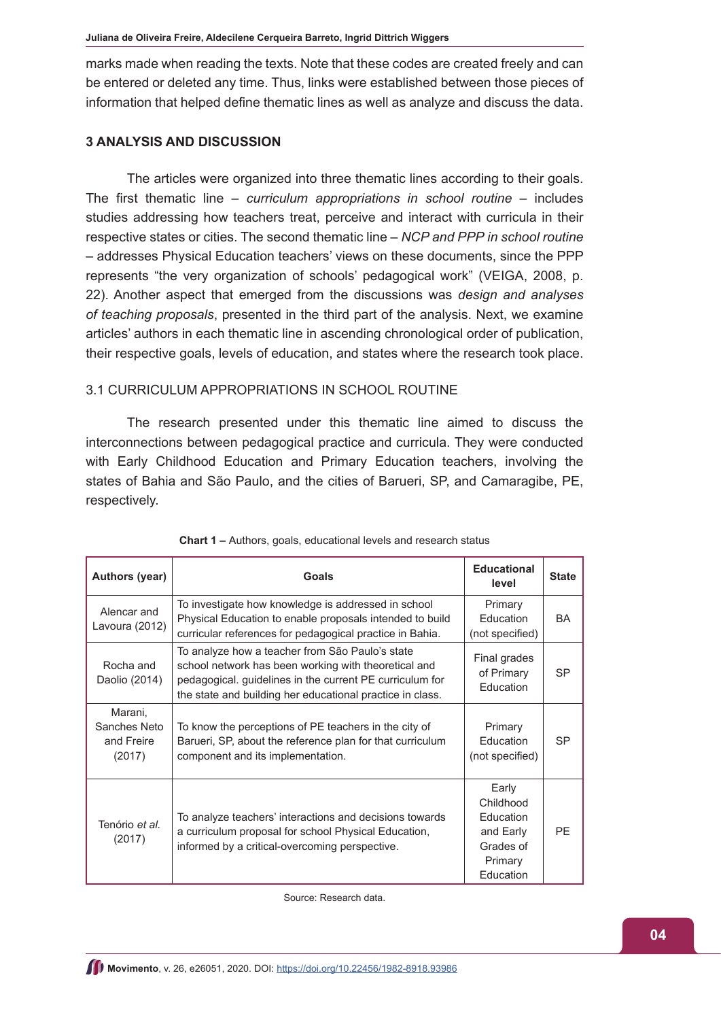marks made when reading the texts. Note that these codes are created freely and can be entered or deleted any time. Thus, links were established between those pieces of information that helped define thematic lines as well as analyze and discuss the data.

#### **3 ANALYSIS AND DISCUSSION**

The articles were organized into three thematic lines according to their goals. The first thematic line – *curriculum appropriations in school routine* – includes studies addressing how teachers treat, perceive and interact with curricula in their respective states or cities. The second thematic line – *NCP and PPP in school routine* – addresses Physical Education teachers' views on these documents, since the PPP represents "the very organization of schools' pedagogical work" (VEIGA, 2008, p. 22). Another aspect that emerged from the discussions was *design and analyses of teaching proposals*, presented in the third part of the analysis. Next, we examine articles' authors in each thematic line in ascending chronological order of publication, their respective goals, levels of education, and states where the research took place.

## 3.1 CURRICULUM APPROPRIATIONS IN SCHOOL ROUTINE

The research presented under this thematic line aimed to discuss the interconnections between pedagogical practice and curricula. They were conducted with Early Childhood Education and Primary Education teachers, involving the states of Bahia and São Paulo, and the cities of Barueri, SP, and Camaragibe, PE, respectively.

| Authors (year)                                  | Goals                                                                                                                                                                                                                            | <b>Educational</b><br>level                                                              | <b>State</b> |
|-------------------------------------------------|----------------------------------------------------------------------------------------------------------------------------------------------------------------------------------------------------------------------------------|------------------------------------------------------------------------------------------|--------------|
| Alencar and<br>Lavoura (2012)                   | To investigate how knowledge is addressed in school<br>Physical Education to enable proposals intended to build<br>curricular references for pedagogical practice in Bahia.                                                      | Primary<br><b>Education</b><br>(not specified)                                           | <b>BA</b>    |
| Rocha and<br>Daolio (2014)                      | To analyze how a teacher from São Paulo's state<br>school network has been working with theoretical and<br>pedagogical. guidelines in the current PE curriculum for<br>the state and building her educational practice in class. | Final grades<br>of Primary<br>Education                                                  | <b>SP</b>    |
| Marani,<br>Sanches Neto<br>and Freire<br>(2017) | To know the perceptions of PE teachers in the city of<br>Barueri, SP, about the reference plan for that curriculum<br>component and its implementation.                                                                          | Primary<br><b>Education</b><br>(not specified)                                           | <b>SP</b>    |
| Tenório et al.<br>(2017)                        | To analyze teachers' interactions and decisions towards<br>a curriculum proposal for school Physical Education,<br>informed by a critical-overcoming perspective.                                                                | Early<br>Childhood<br><b>Education</b><br>and Early<br>Grades of<br>Primary<br>Education | PF           |

|  |  |  |  | Chart 1 - Authors, goals, educational levels and research status |  |  |  |  |
|--|--|--|--|------------------------------------------------------------------|--|--|--|--|
|--|--|--|--|------------------------------------------------------------------|--|--|--|--|

Source: Research data.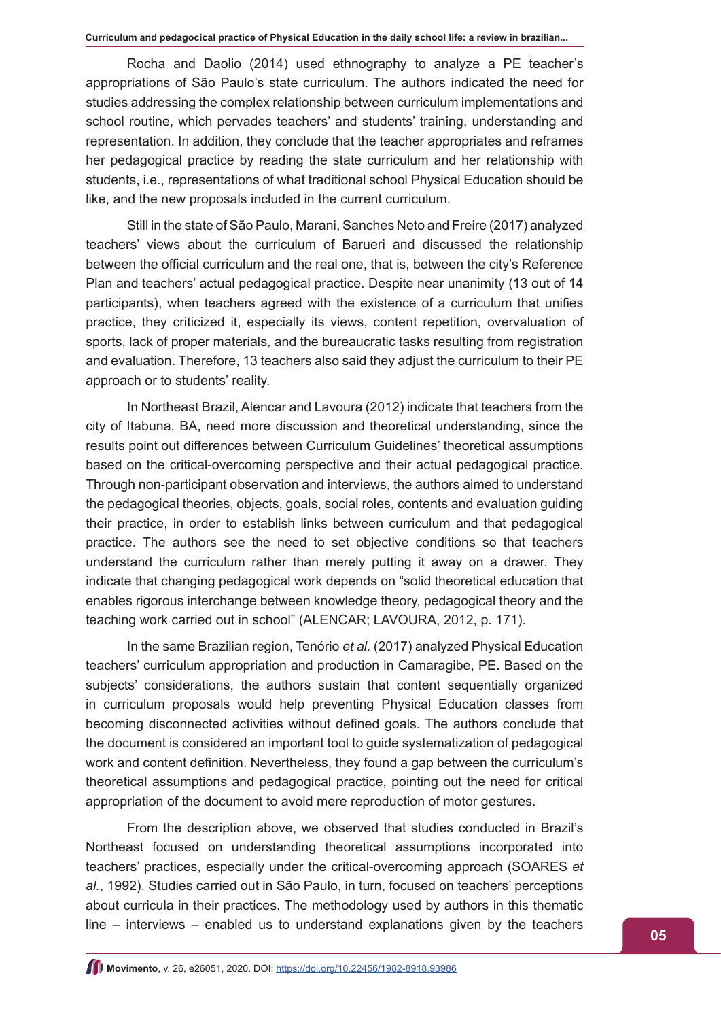Rocha and Daolio (2014) used ethnography to analyze a PE teacher's appropriations of São Paulo's state curriculum. The authors indicated the need for studies addressing the complex relationship between curriculum implementations and school routine, which pervades teachers' and students' training, understanding and representation. In addition, they conclude that the teacher appropriates and reframes her pedagogical practice by reading the state curriculum and her relationship with students, i.e., representations of what traditional school Physical Education should be like, and the new proposals included in the current curriculum.

Still in the state of São Paulo, Marani, Sanches Neto and Freire (2017) analyzed teachers' views about the curriculum of Barueri and discussed the relationship between the official curriculum and the real one, that is, between the city's Reference Plan and teachers' actual pedagogical practice. Despite near unanimity (13 out of 14 participants), when teachers agreed with the existence of a curriculum that unifies practice, they criticized it, especially its views, content repetition, overvaluation of sports, lack of proper materials, and the bureaucratic tasks resulting from registration and evaluation. Therefore, 13 teachers also said they adjust the curriculum to their PE approach or to students' reality.

In Northeast Brazil, Alencar and Lavoura (2012) indicate that teachers from the city of Itabuna, BA, need more discussion and theoretical understanding, since the results point out differences between Curriculum Guidelines' theoretical assumptions based on the critical-overcoming perspective and their actual pedagogical practice. Through non-participant observation and interviews, the authors aimed to understand the pedagogical theories, objects, goals, social roles, contents and evaluation guiding their practice, in order to establish links between curriculum and that pedagogical practice. The authors see the need to set objective conditions so that teachers understand the curriculum rather than merely putting it away on a drawer. They indicate that changing pedagogical work depends on "solid theoretical education that enables rigorous interchange between knowledge theory, pedagogical theory and the teaching work carried out in school" (ALENCAR; LAVOURA, 2012, p. 171).

In the same Brazilian region, Tenório *et al.* (2017) analyzed Physical Education teachers' curriculum appropriation and production in Camaragibe, PE. Based on the subjects' considerations, the authors sustain that content sequentially organized in curriculum proposals would help preventing Physical Education classes from becoming disconnected activities without defined goals. The authors conclude that the document is considered an important tool to guide systematization of pedagogical work and content definition. Nevertheless, they found a gap between the curriculum's theoretical assumptions and pedagogical practice, pointing out the need for critical appropriation of the document to avoid mere reproduction of motor gestures.

From the description above, we observed that studies conducted in Brazil's Northeast focused on understanding theoretical assumptions incorporated into teachers' practices, especially under the critical-overcoming approach (SOARES *et al.*, 1992). Studies carried out in São Paulo, in turn, focused on teachers' perceptions about curricula in their practices. The methodology used by authors in this thematic line – interviews – enabled us to understand explanations given by the teachers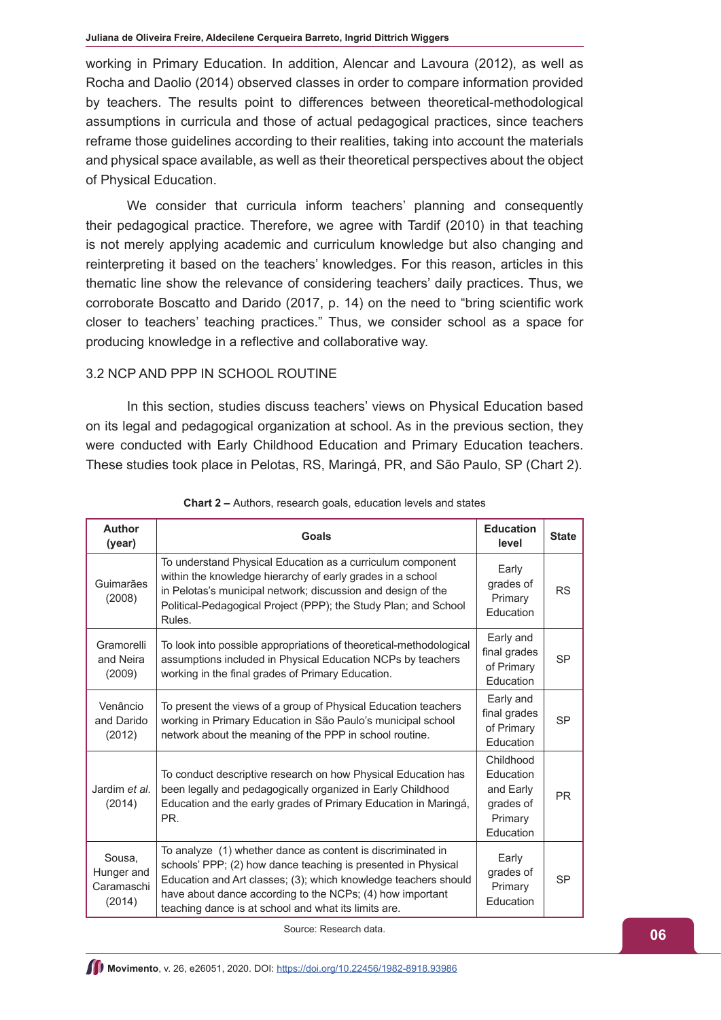working in Primary Education. In addition, Alencar and Lavoura (2012), as well as Rocha and Daolio (2014) observed classes in order to compare information provided by teachers. The results point to differences between theoretical-methodological assumptions in curricula and those of actual pedagogical practices, since teachers reframe those guidelines according to their realities, taking into account the materials and physical space available, as well as their theoretical perspectives about the object of Physical Education.

We consider that curricula inform teachers' planning and consequently their pedagogical practice. Therefore, we agree with Tardif (2010) in that teaching is not merely applying academic and curriculum knowledge but also changing and reinterpreting it based on the teachers' knowledges. For this reason, articles in this thematic line show the relevance of considering teachers' daily practices. Thus, we corroborate Boscatto and Darido (2017, p. 14) on the need to "bring scientific work closer to teachers' teaching practices." Thus, we consider school as a space for producing knowledge in a reflective and collaborative way.

## 3.2 NCP AND PPP IN SCHOOL ROUTINE

In this section, studies discuss teachers' views on Physical Education based on its legal and pedagogical organization at school. As in the previous section, they were conducted with Early Childhood Education and Primary Education teachers. These studies took place in Pelotas, RS, Maringá, PR, and São Paulo, SP (Chart 2).

| <b>Author</b><br>(year)                      | Goals                                                                                                                                                                                                                                                                                                                | <b>Education</b><br>level                                                | <b>State</b> |
|----------------------------------------------|----------------------------------------------------------------------------------------------------------------------------------------------------------------------------------------------------------------------------------------------------------------------------------------------------------------------|--------------------------------------------------------------------------|--------------|
| Guimarães<br>(2008)                          | To understand Physical Education as a curriculum component<br>within the knowledge hierarchy of early grades in a school<br>in Pelotas's municipal network; discussion and design of the<br>Political-Pedagogical Project (PPP); the Study Plan; and School<br>Rules.                                                | Early<br>grades of<br>Primary<br>Education                               | <b>RS</b>    |
| Gramorelli<br>and Neira<br>(2009)            | To look into possible appropriations of theoretical-methodological<br>assumptions included in Physical Education NCPs by teachers<br>working in the final grades of Primary Education.                                                                                                                               | Early and<br>final grades<br>of Primary<br>Education                     | <b>SP</b>    |
| Venâncio<br>and Darido<br>(2012)             | To present the views of a group of Physical Education teachers<br>working in Primary Education in São Paulo's municipal school<br>network about the meaning of the PPP in school routine.                                                                                                                            | Early and<br>final grades<br>of Primary<br><b>Education</b>              | <b>SP</b>    |
| Jardim et al.<br>(2014)                      | To conduct descriptive research on how Physical Education has<br>been legally and pedagogically organized in Early Childhood<br>Education and the early grades of Primary Education in Maringá,<br>PR.                                                                                                               | Childhood<br>Education<br>and Early<br>grades of<br>Primary<br>Education | <b>PR</b>    |
| Sousa.<br>Hunger and<br>Caramaschi<br>(2014) | To analyze (1) whether dance as content is discriminated in<br>schools' PPP; (2) how dance teaching is presented in Physical<br>Education and Art classes; (3); which knowledge teachers should<br>have about dance according to the NCPs; (4) how important<br>teaching dance is at school and what its limits are. | Early<br>grades of<br>Primary<br>Education                               | <b>SP</b>    |

**Chart 2 –** Authors, research goals, education levels and states

Source: Research data.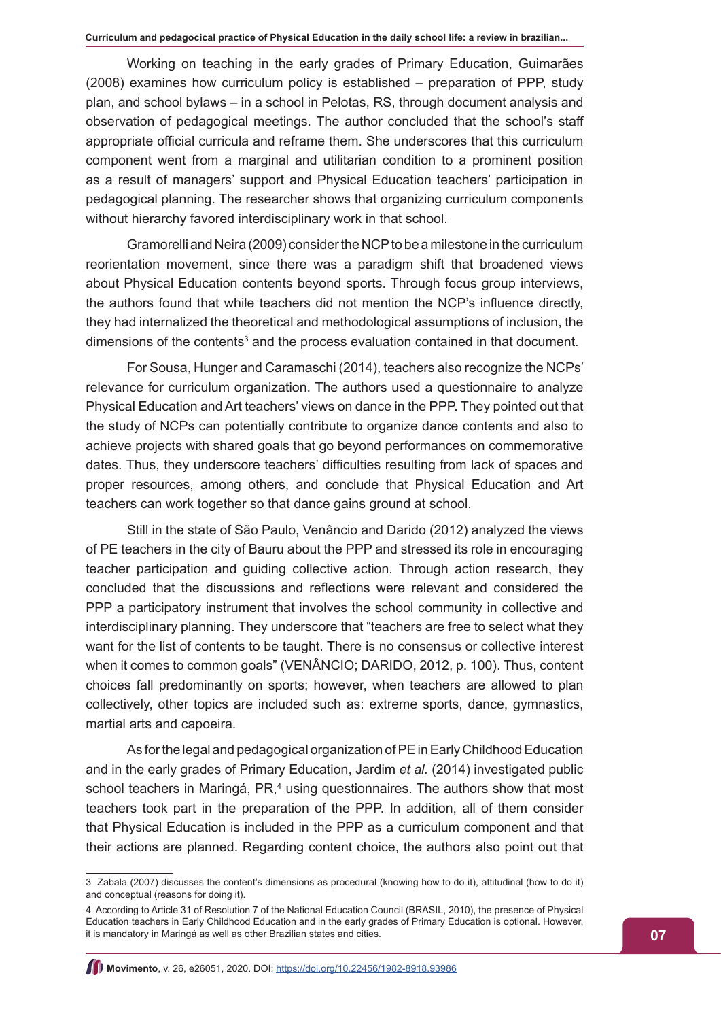Working on teaching in the early grades of Primary Education, Guimarães (2008) examines how curriculum policy is established – preparation of PPP, study plan, and school bylaws – in a school in Pelotas, RS, through document analysis and observation of pedagogical meetings. The author concluded that the school's staff appropriate official curricula and reframe them. She underscores that this curriculum component went from a marginal and utilitarian condition to a prominent position as a result of managers' support and Physical Education teachers' participation in pedagogical planning. The researcher shows that organizing curriculum components without hierarchy favored interdisciplinary work in that school.

Gramorelli and Neira (2009) consider the NCP to be a milestone in the curriculum reorientation movement, since there was a paradigm shift that broadened views about Physical Education contents beyond sports. Through focus group interviews, the authors found that while teachers did not mention the NCP's influence directly, they had internalized the theoretical and methodological assumptions of inclusion, the dimensions of the contents<sup>3</sup> and the process evaluation contained in that document.

For Sousa, Hunger and Caramaschi (2014), teachers also recognize the NCPs' relevance for curriculum organization. The authors used a questionnaire to analyze Physical Education and Art teachers' views on dance in the PPP. They pointed out that the study of NCPs can potentially contribute to organize dance contents and also to achieve projects with shared goals that go beyond performances on commemorative dates. Thus, they underscore teachers' difficulties resulting from lack of spaces and proper resources, among others, and conclude that Physical Education and Art teachers can work together so that dance gains ground at school.

Still in the state of São Paulo, Venâncio and Darido (2012) analyzed the views of PE teachers in the city of Bauru about the PPP and stressed its role in encouraging teacher participation and guiding collective action. Through action research, they concluded that the discussions and reflections were relevant and considered the PPP a participatory instrument that involves the school community in collective and interdisciplinary planning. They underscore that "teachers are free to select what they want for the list of contents to be taught. There is no consensus or collective interest when it comes to common goals" (VENÂNCIO; DARIDO, 2012, p. 100). Thus, content choices fall predominantly on sports; however, when teachers are allowed to plan collectively, other topics are included such as: extreme sports, dance, gymnastics, martial arts and capoeira.

As for the legal and pedagogical organization of PE in Early Childhood Education and in the early grades of Primary Education, Jardim *et al.* (2014) investigated public school teachers in Maringá, PR,<sup>4</sup> using questionnaires. The authors show that most teachers took part in the preparation of the PPP. In addition, all of them consider that Physical Education is included in the PPP as a curriculum component and that their actions are planned. Regarding content choice, the authors also point out that

<sup>3</sup> Zabala (2007) discusses the content's dimensions as procedural (knowing how to do it), attitudinal (how to do it) and conceptual (reasons for doing it).

<sup>4</sup> According to Article 31 of Resolution 7 of the National Education Council (BRASIL, 2010), the presence of Physical Education teachers in Early Childhood Education and in the early grades of Primary Education is optional. However, it is mandatory in Maringá as well as other Brazilian states and cities.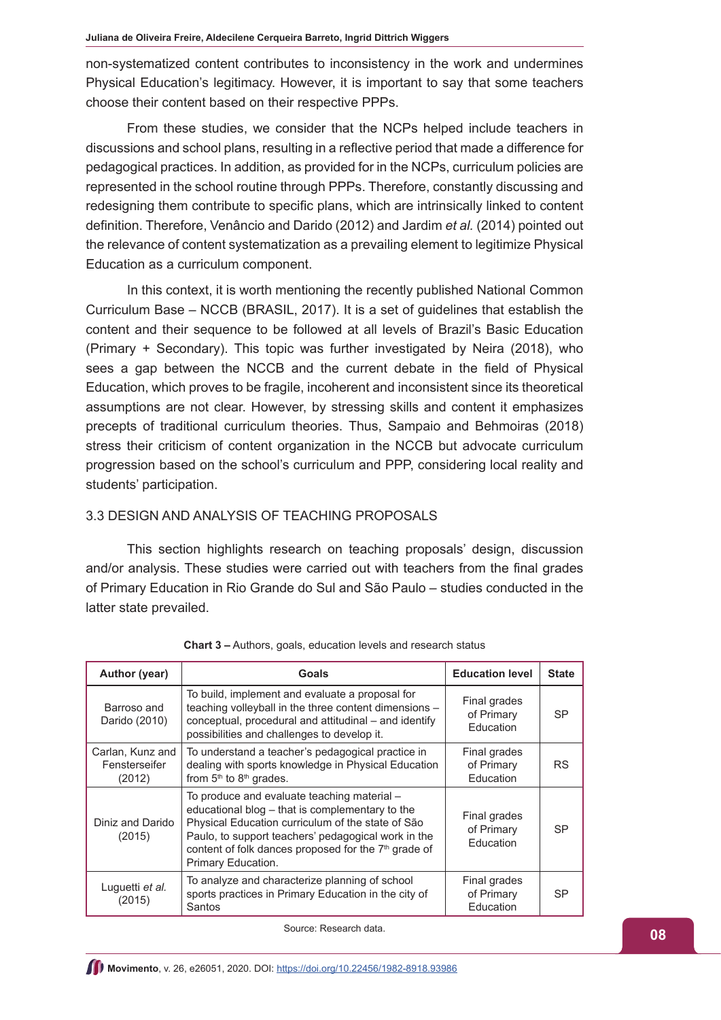non-systematized content contributes to inconsistency in the work and undermines Physical Education's legitimacy. However, it is important to say that some teachers choose their content based on their respective PPPs.

From these studies, we consider that the NCPs helped include teachers in discussions and school plans, resulting in a reflective period that made a difference for pedagogical practices. In addition, as provided for in the NCPs, curriculum policies are represented in the school routine through PPPs. Therefore, constantly discussing and redesigning them contribute to specific plans, which are intrinsically linked to content definition. Therefore, Venâncio and Darido (2012) and Jardim *et al.* (2014) pointed out the relevance of content systematization as a prevailing element to legitimize Physical Education as a curriculum component.

In this context, it is worth mentioning the recently published National Common Curriculum Base – NCCB (BRASIL, 2017). It is a set of guidelines that establish the content and their sequence to be followed at all levels of Brazil's Basic Education (Primary + Secondary). This topic was further investigated by Neira (2018), who sees a gap between the NCCB and the current debate in the field of Physical Education, which proves to be fragile, incoherent and inconsistent since its theoretical assumptions are not clear. However, by stressing skills and content it emphasizes precepts of traditional curriculum theories. Thus, Sampaio and Behmoiras (2018) stress their criticism of content organization in the NCCB but advocate curriculum progression based on the school's curriculum and PPP, considering local reality and students' participation.

## 3.3 DESIGN AND ANALYSIS OF TEACHING PROPOSALS

This section highlights research on teaching proposals' design, discussion and/or analysis. These studies were carried out with teachers from the final grades of Primary Education in Rio Grande do Sul and São Paulo – studies conducted in the latter state prevailed.

| Author (year)                               | <b>Goals</b>                                                                                                                                                                                                                                                                                         | <b>Education level</b>                  | <b>State</b> |
|---------------------------------------------|------------------------------------------------------------------------------------------------------------------------------------------------------------------------------------------------------------------------------------------------------------------------------------------------------|-----------------------------------------|--------------|
| Barroso and<br>Darido (2010)                | To build, implement and evaluate a proposal for<br>teaching volleyball in the three content dimensions -<br>conceptual, procedural and attitudinal – and identify<br>possibilities and challenges to develop it.                                                                                     | Final grades<br>of Primary<br>Education | <b>SP</b>    |
| Carlan, Kunz and<br>Fensterseifer<br>(2012) | To understand a teacher's pedagogical practice in<br>dealing with sports knowledge in Physical Education<br>from 5 <sup>th</sup> to 8 <sup>th</sup> grades.                                                                                                                                          | Final grades<br>of Primary<br>Education | <b>RS</b>    |
| Diniz and Darido<br>(2015)                  | To produce and evaluate teaching material -<br>educational blog - that is complementary to the<br>Physical Education curriculum of the state of São<br>Paulo, to support teachers' pedagogical work in the<br>content of folk dances proposed for the 7 <sup>th</sup> grade of<br>Primary Education. | Final grades<br>of Primary<br>Education | <b>SP</b>    |
| Luguetti et al.<br>(2015)                   | To analyze and characterize planning of school<br>sports practices in Primary Education in the city of<br>Santos                                                                                                                                                                                     | Final grades<br>of Primary<br>Education | <b>SP</b>    |

**Chart 3 –** Authors, goals, education levels and research status

Source: Research data.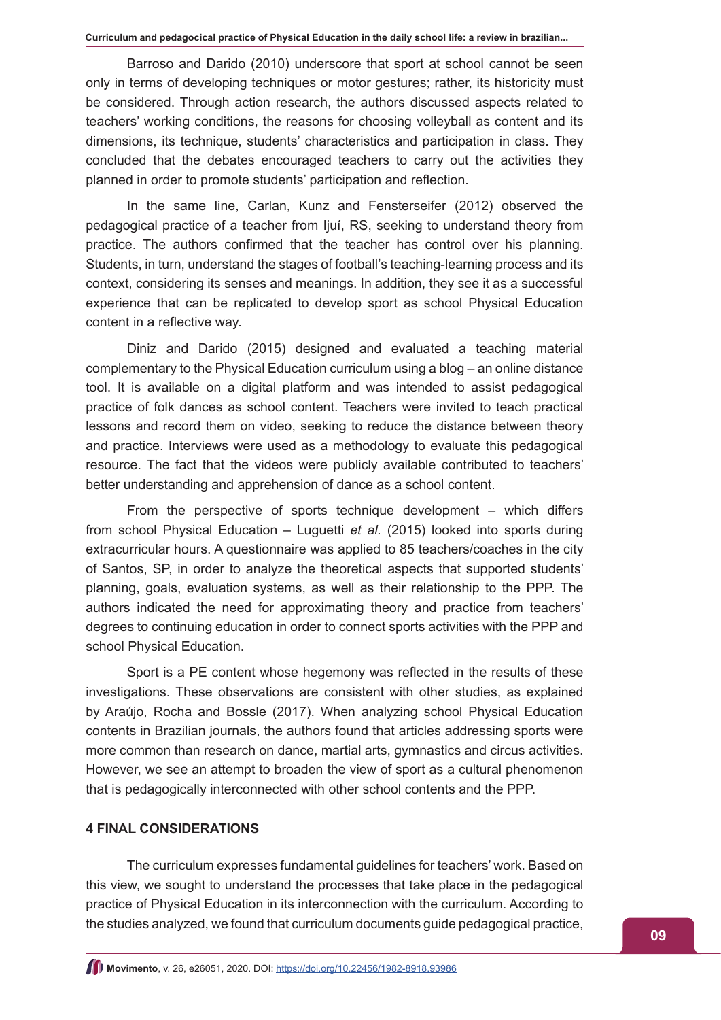Barroso and Darido (2010) underscore that sport at school cannot be seen only in terms of developing techniques or motor gestures; rather, its historicity must be considered. Through action research, the authors discussed aspects related to teachers' working conditions, the reasons for choosing volleyball as content and its dimensions, its technique, students' characteristics and participation in class. They concluded that the debates encouraged teachers to carry out the activities they planned in order to promote students' participation and reflection.

In the same line, Carlan, Kunz and Fensterseifer (2012) observed the pedagogical practice of a teacher from Ijuí, RS, seeking to understand theory from practice. The authors confirmed that the teacher has control over his planning. Students, in turn, understand the stages of football's teaching-learning process and its context, considering its senses and meanings. In addition, they see it as a successful experience that can be replicated to develop sport as school Physical Education content in a reflective way.

Diniz and Darido (2015) designed and evaluated a teaching material complementary to the Physical Education curriculum using a blog – an online distance tool. It is available on a digital platform and was intended to assist pedagogical practice of folk dances as school content. Teachers were invited to teach practical lessons and record them on video, seeking to reduce the distance between theory and practice. Interviews were used as a methodology to evaluate this pedagogical resource. The fact that the videos were publicly available contributed to teachers' better understanding and apprehension of dance as a school content.

From the perspective of sports technique development – which differs from school Physical Education – Luguetti *et al.* (2015) looked into sports during extracurricular hours. A questionnaire was applied to 85 teachers/coaches in the city of Santos, SP, in order to analyze the theoretical aspects that supported students' planning, goals, evaluation systems, as well as their relationship to the PPP. The authors indicated the need for approximating theory and practice from teachers' degrees to continuing education in order to connect sports activities with the PPP and school Physical Education.

Sport is a PE content whose hegemony was reflected in the results of these investigations. These observations are consistent with other studies, as explained by Araújo, Rocha and Bossle (2017). When analyzing school Physical Education contents in Brazilian journals, the authors found that articles addressing sports were more common than research on dance, martial arts, gymnastics and circus activities. However, we see an attempt to broaden the view of sport as a cultural phenomenon that is pedagogically interconnected with other school contents and the PPP.

#### **4 FINAL CONSIDERATIONS**

The curriculum expresses fundamental guidelines for teachers' work. Based on this view, we sought to understand the processes that take place in the pedagogical practice of Physical Education in its interconnection with the curriculum. According to the studies analyzed, we found that curriculum documents guide pedagogical practice,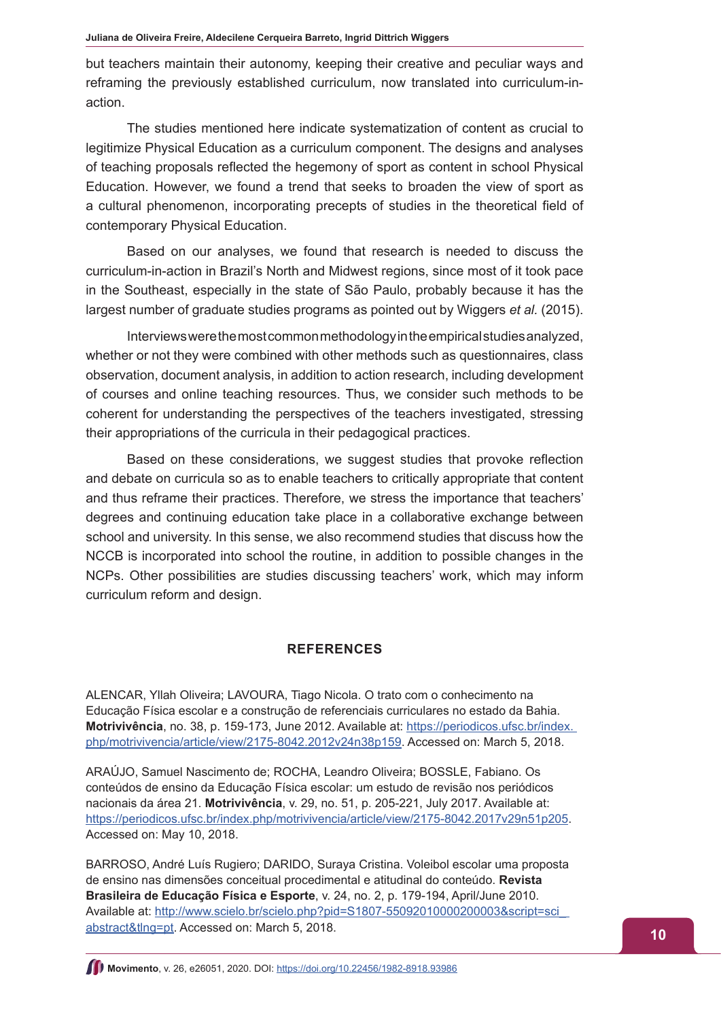but teachers maintain their autonomy, keeping their creative and peculiar ways and reframing the previously established curriculum, now translated into curriculum-inaction.

The studies mentioned here indicate systematization of content as crucial to legitimize Physical Education as a curriculum component. The designs and analyses of teaching proposals reflected the hegemony of sport as content in school Physical Education. However, we found a trend that seeks to broaden the view of sport as a cultural phenomenon, incorporating precepts of studies in the theoretical field of contemporary Physical Education.

Based on our analyses, we found that research is needed to discuss the curriculum-in-action in Brazil's North and Midwest regions, since most of it took pace in the Southeast, especially in the state of São Paulo, probably because it has the largest number of graduate studies programs as pointed out by Wiggers *et al.* (2015).

Interviews were the most common methodology in the empirical studies analyzed, whether or not they were combined with other methods such as questionnaires, class observation, document analysis, in addition to action research, including development of courses and online teaching resources. Thus, we consider such methods to be coherent for understanding the perspectives of the teachers investigated, stressing their appropriations of the curricula in their pedagogical practices.

Based on these considerations, we suggest studies that provoke reflection and debate on curricula so as to enable teachers to critically appropriate that content and thus reframe their practices. Therefore, we stress the importance that teachers' degrees and continuing education take place in a collaborative exchange between school and university. In this sense, we also recommend studies that discuss how the NCCB is incorporated into school the routine, in addition to possible changes in the NCPs. Other possibilities are studies discussing teachers' work, which may inform curriculum reform and design.

#### **REFERENCES**

ALENCAR, Yllah Oliveira; LAVOURA, Tiago Nicola. O trato com o conhecimento na Educação Física escolar e a construção de referenciais curriculares no estado da Bahia. **Motrivivência**, no. 38, p. 159-173, June 2012. Available at: [https://periodicos.ufsc.br/index.](https://periodicos.ufsc.br/index. php/motrivivencia/article/view/2175-8042.2012v24n38p159)  [php/motrivivencia/article/view/2175-8042.2012v24n38p159.](https://periodicos.ufsc.br/index. php/motrivivencia/article/view/2175-8042.2012v24n38p159) Accessed on: March 5, 2018.

ARAÚJO, Samuel Nascimento de; ROCHA, Leandro Oliveira; BOSSLE, Fabiano. Os conteúdos de ensino da Educação Física escolar: um estudo de revisão nos periódicos nacionais da área 21. **Motrivivência**, v. 29, no. 51, p. 205-221, July 2017. Available at: <https://periodicos.ufsc.br/index.php/motrivivencia/article/view/2175-8042.2017v29n51p205>. Accessed on: May 10, 2018.

BARROSO, André Luís Rugiero; DARIDO, Suraya Cristina. Voleibol escolar uma proposta de ensino nas dimensões conceitual procedimental e atitudinal do conteúdo. **Revista Brasileira de Educação Física e Esporte**, v. 24, no. 2, p. 179-194, April/June 2010. Available at: [http://www.scielo.br/scielo.php?pid=S1807-55092010000200003&script=sci\\_](http://www.scielo.br/scielo.php?pid=S1807-55092010000200003&script=sci_ abstract&tlng=pt)  [abstract&tlng=pt](http://www.scielo.br/scielo.php?pid=S1807-55092010000200003&script=sci_ abstract&tlng=pt). Accessed on: March 5, 2018.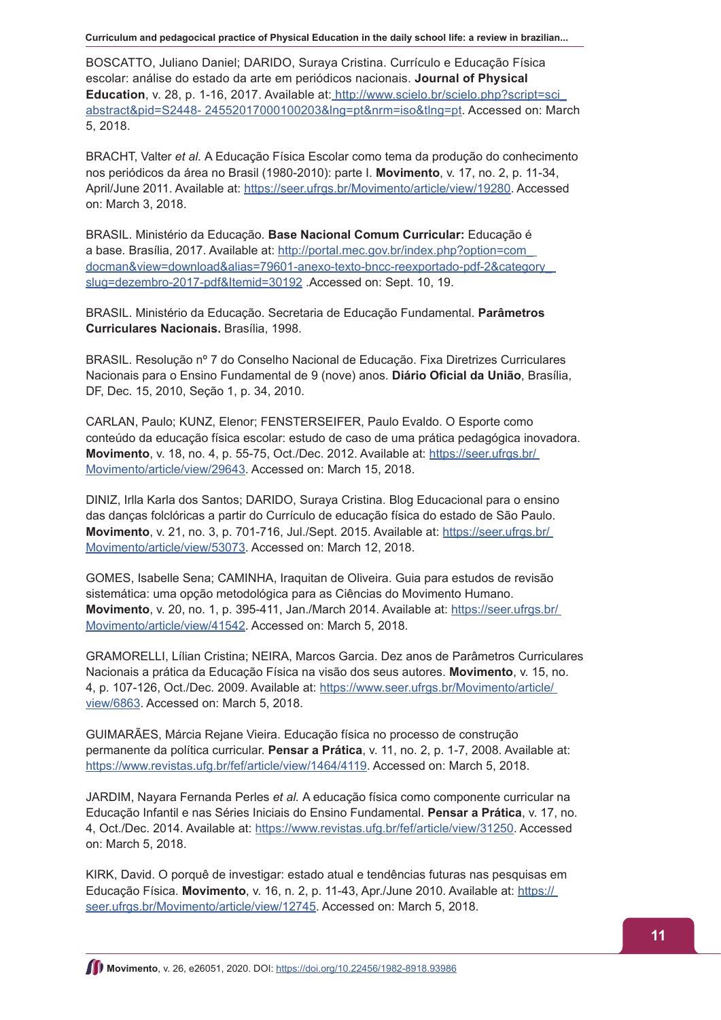**Curriculum and pedagocical practice of Physical Education in the daily school life: a review in brazilian...**

BOSCATTO, Juliano Daniel; DARIDO, Suraya Cristina. Currículo e Educação Física escolar: análise do estado da arte em periódicos nacionais. **Journal of Physical Education**, v. 28, p. 1-16, 2017. Available at: [http://www.scielo.br/scielo.php?script=sci\\_]( http://www.scielo.br/scielo.php?script=sci_abstract&pid=S2448- 24552017000100203&lng=pt&nrm=iso&tln) [abstract&pid=S2448- 24552017000100203&lng=pt&nrm=iso&tlng=pt.]( http://www.scielo.br/scielo.php?script=sci_abstract&pid=S2448- 24552017000100203&lng=pt&nrm=iso&tln) Accessed on: March 5, 2018.

BRACHT, Valter *et al.* A Educação Física Escolar como tema da produção do conhecimento nos periódicos da área no Brasil (1980-2010): parte I. **Movimento**, v. 17, no. 2, p. 11-34, April/June 2011. Available at: [https://seer.ufrgs.br/Movimento/article/view/19280.](https://seer.ufrgs.br/Movimento/article/view/19280) Accessed on: March 3, 2018.

BRASIL. Ministério da Educação. **Base Nacional Comum Curricular:** Educação é a base. Brasília, 2017. Available at: [http://portal.mec.gov.br/index.php?option=com\\_](http://portal.mec.gov.br/index.php?option=com_ docman&view=download&alias=79601-anexo-texto-bncc-ree)  [docman&view=download&alias=79601-anexo-texto-bncc-reexportado-pdf-2&category\\_](http://portal.mec.gov.br/index.php?option=com_ docman&view=download&alias=79601-anexo-texto-bncc-ree)  [slug=dezembro-2017-pdf&Itemid=30192](http://portal.mec.gov.br/index.php?option=com_ docman&view=download&alias=79601-anexo-texto-bncc-ree) .Accessed on: Sept. 10, 19.

BRASIL. Ministério da Educação. Secretaria de Educação Fundamental. **Parâmetros Curriculares Nacionais.** Brasília, 1998.

BRASIL. Resolução nº 7 do Conselho Nacional de Educação. Fixa Diretrizes Curriculares Nacionais para o Ensino Fundamental de 9 (nove) anos. **Diário Oficial da União**, Brasília, DF, Dec. 15, 2010, Seção 1, p. 34, 2010.

CARLAN, Paulo; KUNZ, Elenor; FENSTERSEIFER, Paulo Evaldo. O Esporte como conteúdo da educação física escolar: estudo de caso de uma prática pedagógica inovadora. **Movimento**, v. 18, no. 4, p. 55-75, Oct./Dec. 2012. Available at: [https://seer.ufrgs.br/](https://seer.ufrgs.br/ Movimento/article/view/29643)  [Movimento/article/view/29643.](https://seer.ufrgs.br/ Movimento/article/view/29643) Accessed on: March 15, 2018.

DINIZ, Irlla Karla dos Santos; DARIDO, Suraya Cristina. Blog Educacional para o ensino das danças folclóricas a partir do Currículo de educação física do estado de São Paulo. **Movimento**, v. 21, no. 3, p. 701-716, Jul./Sept. 2015. Available at: [https://seer.ufrgs.br/](https://seer.ufrgs.br/ Movimento/article/view/53073)  [Movimento/article/view/53073.](https://seer.ufrgs.br/ Movimento/article/view/53073) Accessed on: March 12, 2018.

GOMES, Isabelle Sena; CAMINHA, Iraquitan de Oliveira. Guia para estudos de revisão sistemática: uma opção metodológica para as Ciências do Movimento Humano. **Movimento**, v. 20, no. 1, p. 395-411, Jan./March 2014. Available at: [https://seer.ufrgs.br/](https://seer.ufrgs.br/ Movimento/article/view/41542)  [Movimento/article/view/41542.](https://seer.ufrgs.br/ Movimento/article/view/41542) Accessed on: March 5, 2018.

GRAMORELLI, Lílian Cristina; NEIRA, Marcos Garcia. Dez anos de Parâmetros Curriculares Nacionais a prática da Educação Física na visão dos seus autores. **Movimento**, v. 15, no. 4, p. 107-126, Oct./Dec. 2009. Available at: [https://www.seer.ufrgs.br/Movimento/article/](https://www.seer.ufrgs.br/Movimento/article/ view/6863)  [view/6863.](https://www.seer.ufrgs.br/Movimento/article/ view/6863) Accessed on: March 5, 2018.

GUIMARÃES, Márcia Rejane Vieira. Educação física no processo de construção permanente da política curricular. **Pensar a Prática**, v. 11, no. 2, p. 1-7, 2008. Available at: <https://www.revistas.ufg.br/fef/article/view/1464/4119>. Accessed on: March 5, 2018.

JARDIM, Nayara Fernanda Perles *et al.* A educação física como componente curricular na Educação Infantil e nas Séries Iniciais do Ensino Fundamental. **Pensar a Prática**, v. 17, no. 4, Oct./Dec. 2014. Available at: <https://www.revistas.ufg.br/fef/article/view/31250>. Accessed on: March 5, 2018.

KIRK, David. O porquê de investigar: estado atual e tendências futuras nas pesquisas em Educação Física. **Movimento**, v. 16, n. 2, p. 11-43, Apr./June 2010. Available at: [https://](https:// seer.ufrgs.br/Movimento/article/view/12745)  [seer.ufrgs.br/Movimento/article/view/12745.](https:// seer.ufrgs.br/Movimento/article/view/12745) Accessed on: March 5, 2018.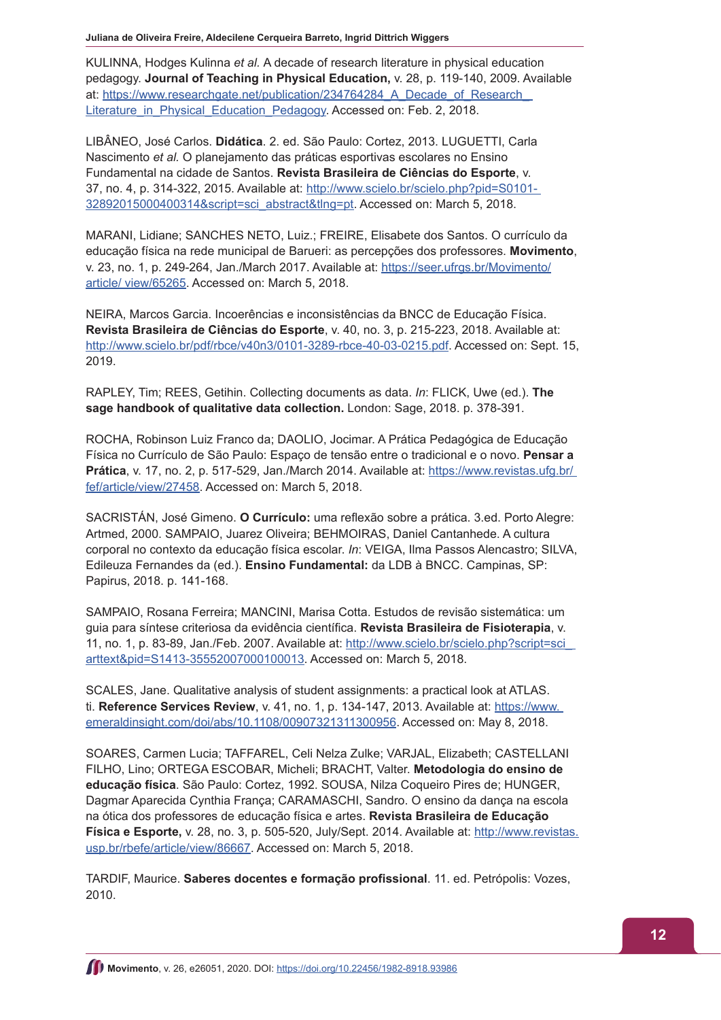**Juliana de Oliveira Freire, Aldecilene Cerqueira Barreto, Ingrid Dittrich Wiggers**

KULINNA, Hodges Kulinna *et al.* A decade of research literature in physical education pedagogy. **Journal of Teaching in Physical Education,** v. 28, p. 119-140, 2009. Available at: [https://www.researchgate.net/publication/234764284\\_A\\_Decade\\_of\\_Research\\_](https://www.researchgate.net/publication/234764284_A_Decade_of_Research_ Literature_in_Physical_Educ)  [Literature\\_in\\_Physical\\_Education\\_Pedagogy](https://www.researchgate.net/publication/234764284_A_Decade_of_Research_ Literature_in_Physical_Educ). Accessed on: Feb. 2, 2018.

LIBÂNEO, José Carlos. **Didática**. 2. ed. São Paulo: Cortez, 2013. LUGUETTI, Carla Nascimento *et al.* O planejamento das práticas esportivas escolares no Ensino Fundamental na cidade de Santos. **Revista Brasileira de Ciências do Esporte**, v. 37, no. 4, p. 314-322, 2015. Available at: [http://www.scielo.br/scielo.php?pid=S0101-](http://www.scielo.br/scielo.php?pid=S0101- 32892015000400314&script=sci_abstract&tlng=pt)  [32892015000400314&script=sci\\_abstract&tlng=pt](http://www.scielo.br/scielo.php?pid=S0101- 32892015000400314&script=sci_abstract&tlng=pt). Accessed on: March 5, 2018.

MARANI, Lidiane; SANCHES NETO, Luiz.; FREIRE, Elisabete dos Santos. O currículo da educação física na rede municipal de Barueri: as percepções dos professores. **Movimento**, v. 23, no. 1, p. 249-264, Jan./March 2017. Available at: [https://seer.ufrgs.br/Movimento/](https://seer.ufrgs.br/Movimento/article/ view/65265) [article/ view/65265.](https://seer.ufrgs.br/Movimento/article/ view/65265) Accessed on: March 5, 2018.

NEIRA, Marcos Garcia. Incoerências e inconsistências da BNCC de Educação Física. **Revista Brasileira de Ciências do Esporte**, v. 40, no. 3, p. 215-223, 2018. Available at: <http://www.scielo.br/pdf/rbce/v40n3/0101-3289-rbce-40-03-0215.pdf>. Accessed on: Sept. 15, 2019.

RAPLEY, Tim; REES, Getihin. Collecting documents as data. *In*: FLICK, Uwe (ed.). **The sage handbook of qualitative data collection.** London: Sage, 2018. p. 378-391.

ROCHA, Robinson Luiz Franco da; DAOLIO, Jocimar. A Prática Pedagógica de Educação Física no Currículo de São Paulo: Espaço de tensão entre o tradicional e o novo. **Pensar a Prática**, v. 17, no. 2, p. 517-529, Jan./March 2014. Available at: [https://www.revistas.ufg.br/](https://www.revistas.ufg.br/ fef/article/view/27458)  [fef/article/view/27458.](https://www.revistas.ufg.br/ fef/article/view/27458) Accessed on: March 5, 2018.

SACRISTÁN, José Gimeno. **O Currículo:** uma reflexão sobre a prática. 3.ed. Porto Alegre: Artmed, 2000. SAMPAIO, Juarez Oliveira; BEHMOIRAS, Daniel Cantanhede. A cultura corporal no contexto da educação física escolar. *In*: VEIGA, Ilma Passos Alencastro; SILVA, Edileuza Fernandes da (ed.). **Ensino Fundamental:** da LDB à BNCC. Campinas, SP: Papirus, 2018. p. 141-168.

SAMPAIO, Rosana Ferreira; MANCINI, Marisa Cotta. Estudos de revisão sistemática: um guia para síntese criteriosa da evidência científica. **Revista Brasileira de Fisioterapia**, v. 11, no. 1, p. 83-89, Jan./Feb. 2007. Available at: [http://www.scielo.br/scielo.php?script=sci\\_](http://www.scielo.br/scielo.php?script=sci_ arttext&pid=S1413-35552007000100013)  [arttext&pid=S1413-35552007000100013](http://www.scielo.br/scielo.php?script=sci_ arttext&pid=S1413-35552007000100013). Accessed on: March 5, 2018.

SCALES, Jane. Qualitative analysis of student assignments: a practical look at ATLAS. ti. **Reference Services Review**, v. 41, no. 1, p. 134-147, 2013. Available at: [https://www.](https://www. emeraldinsight.com/doi/abs/10.1108/00907321311300956)  [emeraldinsight.com/doi/abs/10.1108/00907321311300956](https://www. emeraldinsight.com/doi/abs/10.1108/00907321311300956). Accessed on: May 8, 2018.

SOARES, Carmen Lucia; TAFFAREL, Celi Nelza Zulke; VARJAL, Elizabeth; CASTELLANI FILHO, Lino; ORTEGA ESCOBAR, Micheli; BRACHT, Valter. **Metodologia do ensino de educação física**. São Paulo: Cortez, 1992. SOUSA, Nilza Coqueiro Pires de; HUNGER, Dagmar Aparecida Cynthia França; CARAMASCHI, Sandro. O ensino da dança na escola na ótica dos professores de educação física e artes. **Revista Brasileira de Educação Física e Esporte,** v. 28, no. 3, p. 505-520, July/Sept. 2014. Available at: [http://www.revistas.](http://www.revistas.usp.br/rbefe/article/view/86667) [usp.br/rbefe/article/view/86667](http://www.revistas.usp.br/rbefe/article/view/86667). Accessed on: March 5, 2018.

TARDIF, Maurice. **Saberes docentes e formação profissional**. 11. ed. Petrópolis: Vozes, 2010.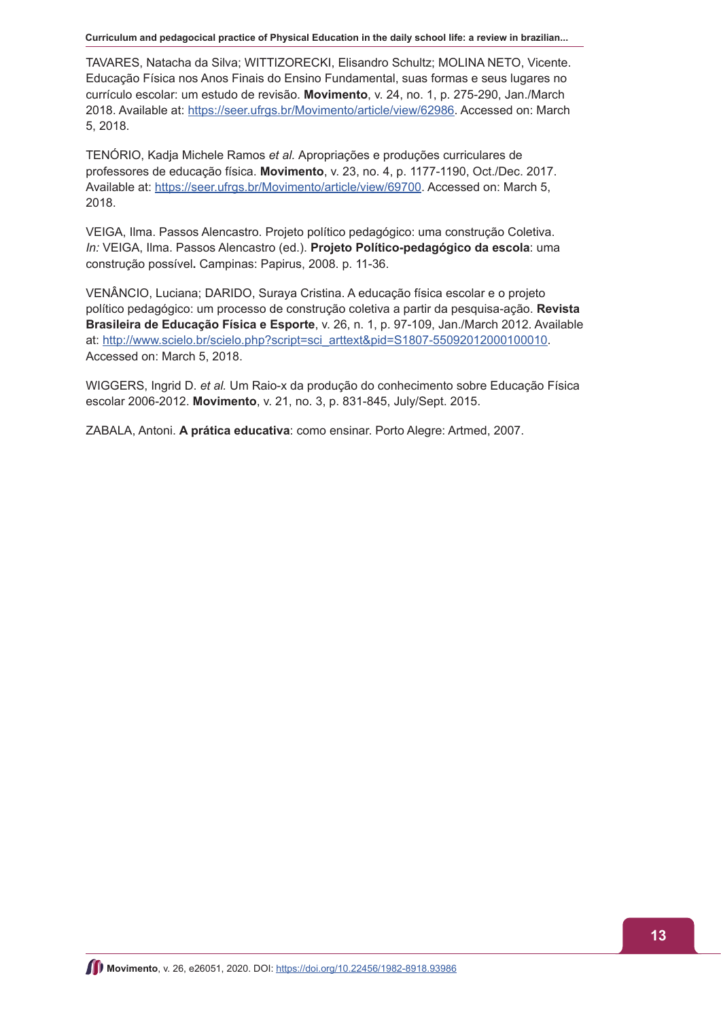**Curriculum and pedagocical practice of Physical Education in the daily school life: a review in brazilian...**

TAVARES, Natacha da Silva; WITTIZORECKI, Elisandro Schultz; MOLINA NETO, Vicente. Educação Física nos Anos Finais do Ensino Fundamental, suas formas e seus lugares no currículo escolar: um estudo de revisão. **Movimento**, v. 24, no. 1, p. 275-290, Jan./March 2018. Available at:<https://seer.ufrgs.br/Movimento/article/view/62986>. Accessed on: March 5, 2018.

TENÓRIO, Kadja Michele Ramos *et al.* Apropriações e produções curriculares de professores de educação física. **Movimento**, v. 23, no. 4, p. 1177-1190, Oct./Dec. 2017. Available at: <https://seer.ufrgs.br/Movimento/article/view/69700>. Accessed on: March 5, 2018.

VEIGA, Ilma. Passos Alencastro. Projeto político pedagógico: uma construção Coletiva. *In:* VEIGA, Ilma. Passos Alencastro (ed.). **Projeto Político-pedagógico da escola**: uma construção possível**.** Campinas: Papirus, 2008. p. 11-36.

VENÂNCIO, Luciana; DARIDO, Suraya Cristina. A educação física escolar e o projeto político pedagógico: um processo de construção coletiva a partir da pesquisa-ação. **Revista Brasileira de Educação Física e Esporte**, v. 26, n. 1, p. 97-109, Jan./March 2012. Available at: [http://www.scielo.br/scielo.php?script=sci\\_arttext&pid=S1807-55092012000100010](http://www.scielo.br/scielo.php?script=sci_arttext&pid=S1807-55092012000100010). Accessed on: March 5, 2018.

WIGGERS, Ingrid D. *et al.* Um Raio-x da produção do conhecimento sobre Educação Física escolar 2006-2012. **Movimento**, v. 21, no. 3, p. 831-845, July/Sept. 2015.

ZABALA, Antoni. **A prática educativa**: como ensinar. Porto Alegre: Artmed, 2007.